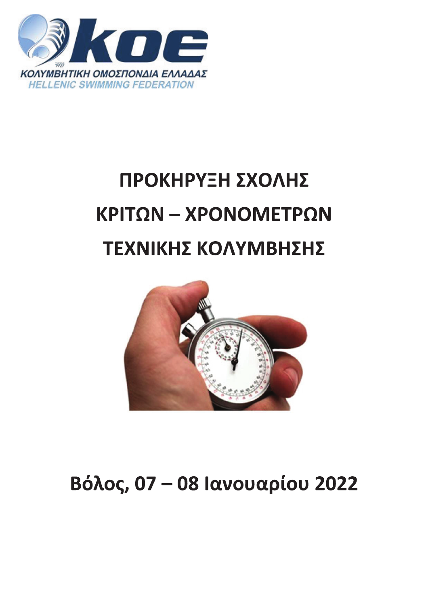

# ΠΡΟΚΗΡΥΞΗ ΣΧΟΛΗΣ ΚΡΙΤΩΝ - ΧΡΟΝΟΜΕΤΡΩΝ ΤΕΧΝΙΚΗΣ ΚΟΛΥΜΒΗΣΗΣ



# Βόλος, 07 - 08 Ιανουαρίου 2022